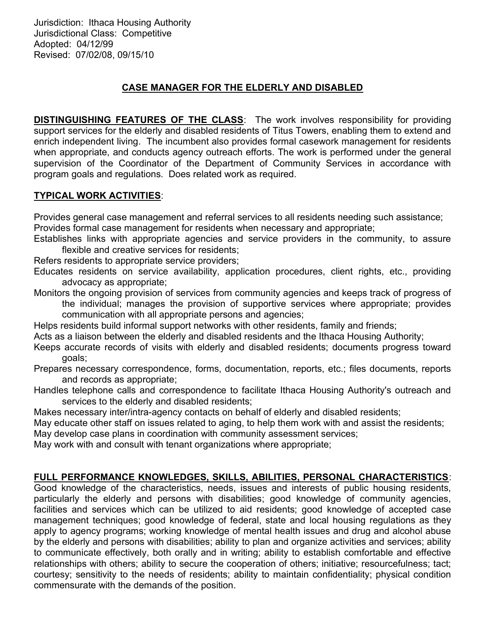Jurisdiction: Ithaca Housing Authority Jurisdictional Class: Competitive Adopted: 04/12/99 Revised: 07/02/08, 09/15/10

## CASE MANAGER FOR THE ELDERLY AND DISABLED

**DISTINGUISHING FEATURES OF THE CLASS:** The work involves responsibility for providing support services for the elderly and disabled residents of Titus Towers, enabling them to extend and enrich independent living. The incumbent also provides formal casework management for residents when appropriate, and conducts agency outreach efforts. The work is performed under the general supervision of the Coordinator of the Department of Community Services in accordance with program goals and regulations. Does related work as required.

## TYPICAL WORK ACTIVITIES:

Provides general case management and referral services to all residents needing such assistance; Provides formal case management for residents when necessary and appropriate;

Establishes links with appropriate agencies and service providers in the community, to assure flexible and creative services for residents;

Refers residents to appropriate service providers;

Educates residents on service availability, application procedures, client rights, etc., providing advocacy as appropriate;

Monitors the ongoing provision of services from community agencies and keeps track of progress of the individual; manages the provision of supportive services where appropriate; provides communication with all appropriate persons and agencies;

Helps residents build informal support networks with other residents, family and friends;

Acts as a liaison between the elderly and disabled residents and the Ithaca Housing Authority;

Keeps accurate records of visits with elderly and disabled residents; documents progress toward goals;

Prepares necessary correspondence, forms, documentation, reports, etc.; files documents, reports and records as appropriate;

Handles telephone calls and correspondence to facilitate Ithaca Housing Authority's outreach and services to the elderly and disabled residents;

Makes necessary inter/intra-agency contacts on behalf of elderly and disabled residents;

May educate other staff on issues related to aging, to help them work with and assist the residents;

May develop case plans in coordination with community assessment services;

May work with and consult with tenant organizations where appropriate;

## FULL PERFORMANCE KNOWLEDGES, SKILLS, ABILITIES, PERSONAL CHARACTERISTICS:

Good knowledge of the characteristics, needs, issues and interests of public housing residents, particularly the elderly and persons with disabilities; good knowledge of community agencies, facilities and services which can be utilized to aid residents; good knowledge of accepted case management techniques; good knowledge of federal, state and local housing regulations as they apply to agency programs; working knowledge of mental health issues and drug and alcohol abuse by the elderly and persons with disabilities; ability to plan and organize activities and services; ability to communicate effectively, both orally and in writing; ability to establish comfortable and effective relationships with others; ability to secure the cooperation of others; initiative; resourcefulness; tact; courtesy; sensitivity to the needs of residents; ability to maintain confidentiality; physical condition commensurate with the demands of the position.